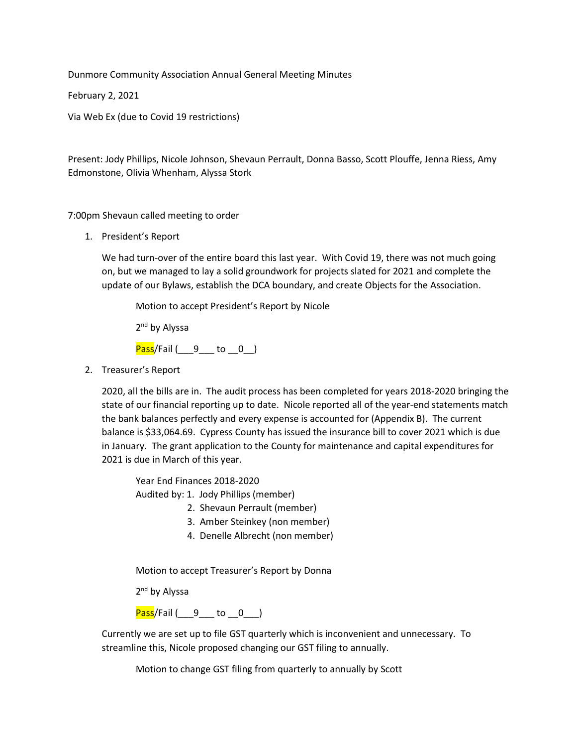Dunmore Community Association Annual General Meeting Minutes

February 2, 2021

Via Web Ex (due to Covid 19 restrictions)

Present: Jody Phillips, Nicole Johnson, Shevaun Perrault, Donna Basso, Scott Plouffe, Jenna Riess, Amy Edmonstone, Olivia Whenham, Alyssa Stork

7:00pm Shevaun called meeting to order

1. President's Report

We had turn-over of the entire board this last year. With Covid 19, there was not much going on, but we managed to lay a solid groundwork for projects slated for 2021 and complete the update of our Bylaws, establish the DCA boundary, and create Objects for the Association.

Motion to accept President's Report by Nicole

2<sup>nd</sup> by Alyssa

 $Pass/Feil$  ( $9$  to  $0$  )

2. Treasurer's Report

2020, all the bills are in. The audit process has been completed for years 2018-2020 bringing the state of our financial reporting up to date. Nicole reported all of the year-end statements match the bank balances perfectly and every expense is accounted for (Appendix B). The current balance is \$33,064.69. Cypress County has issued the insurance bill to cover 2021 which is due in January. The grant application to the County for maintenance and capital expenditures for 2021 is due in March of this year.

Year End Finances 2018-2020

Audited by: 1. Jody Phillips (member)

- 2. Shevaun Perrault (member)
- 3. Amber Steinkey (non member)
- 4. Denelle Albrecht (non member)

Motion to accept Treasurer's Report by Donna

2<sup>nd</sup> by Alyssa

 $Pass/Fall (9 to 0)$ 

Currently we are set up to file GST quarterly which is inconvenient and unnecessary. To streamline this, Nicole proposed changing our GST filing to annually.

Motion to change GST filing from quarterly to annually by Scott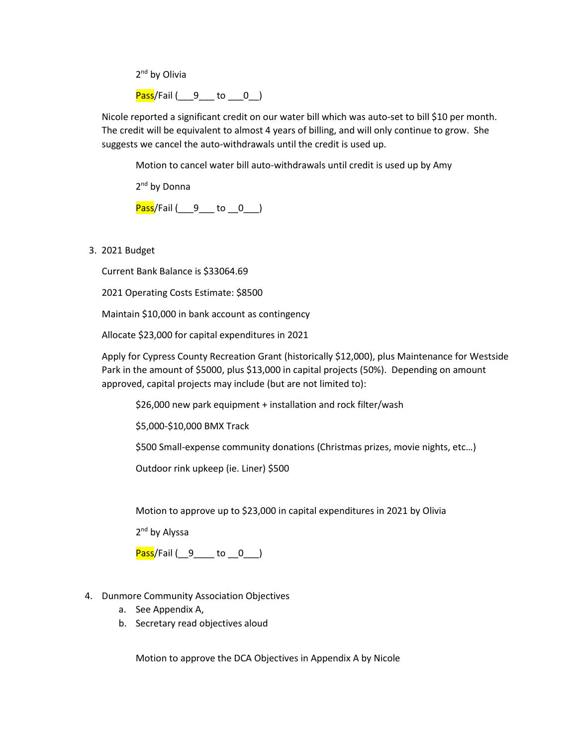2<sup>nd</sup> by Olivia

 $Pass/Feil$  ( $9$  to  $0$  )

Nicole reported a significant credit on our water bill which was auto-set to bill \$10 per month. The credit will be equivalent to almost 4 years of billing, and will only continue to grow. She suggests we cancel the auto-withdrawals until the credit is used up.

Motion to cancel water bill auto-withdrawals until credit is used up by Amy

2<sup>nd</sup> by Donna

Pass/Fail (1916) to 0.1

3. 2021 Budget

Current Bank Balance is \$33064.69

2021 Operating Costs Estimate: \$8500

Maintain \$10,000 in bank account as contingency

Allocate \$23,000 for capital expenditures in 2021

Apply for Cypress County Recreation Grant (historically \$12,000), plus Maintenance for Westside Park in the amount of \$5000, plus \$13,000 in capital projects (50%). Depending on amount approved, capital projects may include (but are not limited to):

\$26,000 new park equipment + installation and rock filter/wash

\$5,000-\$10,000 BMX Track

\$500 Small-expense community donations (Christmas prizes, movie nights, etc…)

Outdoor rink upkeep (ie. Liner) \$500

Motion to approve up to \$23,000 in capital expenditures in 2021 by Olivia

2<sup>nd</sup> by Alyssa

Pass/Fail (9 \_\_ to 0 \_\_ 0 \_\_ )

- 4. Dunmore Community Association Objectives
	- a. See Appendix A,
	- b. Secretary read objectives aloud

Motion to approve the DCA Objectives in Appendix A by Nicole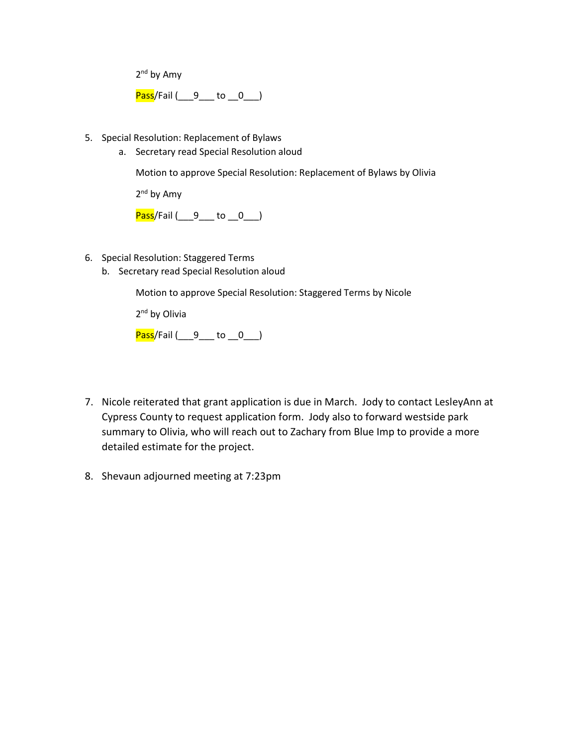2<sup>nd</sup> by Amy

Pass/Fail (1916 to 0.1)

- 5. Special Resolution: Replacement of Bylaws
	- a. Secretary read Special Resolution aloud

Motion to approve Special Resolution: Replacement of Bylaws by Olivia

2<sup>nd</sup> by Amy

Pass/Fail (1916 to 0.1)

- 6. Special Resolution: Staggered Terms
	- b. Secretary read Special Resolution aloud

Motion to approve Special Resolution: Staggered Terms by Nicole

2<sup>nd</sup> by Olivia

Pass/Fail (9 \_\_\_ to 0 \_\_)

- 7. Nicole reiterated that grant application is due in March. Jody to contact LesleyAnn at Cypress County to request application form. Jody also to forward westside park summary to Olivia, who will reach out to Zachary from Blue Imp to provide a more detailed estimate for the project.
- 8. Shevaun adjourned meeting at 7:23pm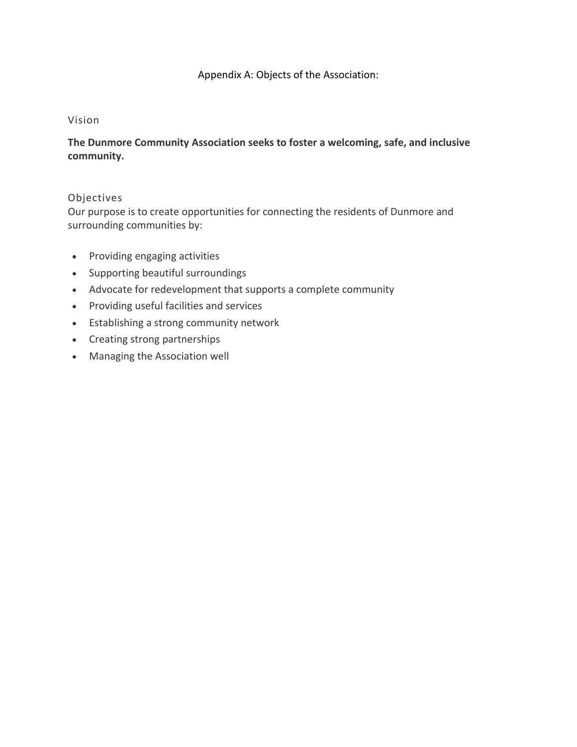## Appendix A: Objects of the Association:

## Vision

## **The Dunmore Community Association seeks to foster a welcoming, safe, and inclusive community.**

## Objectives

Our purpose is to create opportunities for connecting the residents of Dunmore and surrounding communities by:

- Providing engaging activities
- Supporting beautiful surroundings
- Advocate for redevelopment that supports a complete community
- Providing useful facilities and services
- Establishing a strong community network
- Creating strong partnerships
- Managing the Association well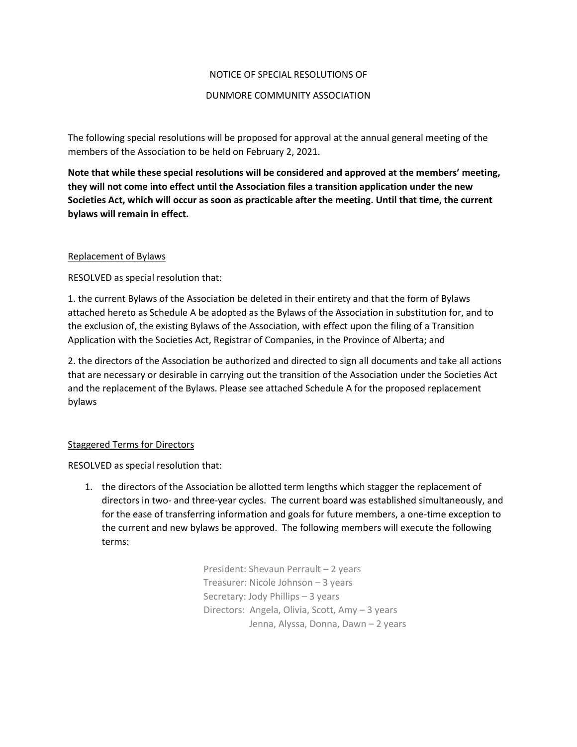### NOTICE OF SPECIAL RESOLUTIONS OF

#### DUNMORE COMMUNITY ASSOCIATION

The following special resolutions will be proposed for approval at the annual general meeting of the members of the Association to be held on February 2, 2021.

**Note that while these special resolutions will be considered and approved at the members' meeting, they will not come into effect until the Association files a transition application under the new Societies Act, which will occur as soon as practicable after the meeting. Until that time, the current bylaws will remain in effect.** 

### Replacement of Bylaws

RESOLVED as special resolution that:

1. the current Bylaws of the Association be deleted in their entirety and that the form of Bylaws attached hereto as Schedule A be adopted as the Bylaws of the Association in substitution for, and to the exclusion of, the existing Bylaws of the Association, with effect upon the filing of a Transition Application with the Societies Act, Registrar of Companies, in the Province of Alberta; and

2. the directors of the Association be authorized and directed to sign all documents and take all actions that are necessary or desirable in carrying out the transition of the Association under the Societies Act and the replacement of the Bylaws. Please see attached Schedule A for the proposed replacement bylaws

## Staggered Terms for Directors

RESOLVED as special resolution that:

1. the directors of the Association be allotted term lengths which stagger the replacement of directors in two- and three-year cycles. The current board was established simultaneously, and for the ease of transferring information and goals for future members, a one-time exception to the current and new bylaws be approved. The following members will execute the following terms:

> President: Shevaun Perrault – 2 years Treasurer: Nicole Johnson – 3 years Secretary: Jody Phillips – 3 years Directors: Angela, Olivia, Scott, Amy – 3 years Jenna, Alyssa, Donna, Dawn – 2 years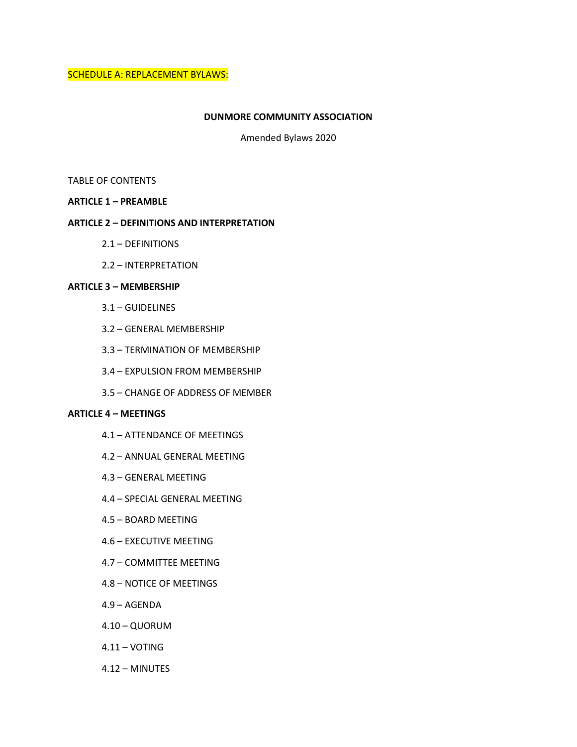SCHEDULE A: REPLACEMENT BYLAWS:

#### **DUNMORE COMMUNITY ASSOCIATION**

Amended Bylaws 2020

#### TABLE OF CONTENTS

#### **ARTICLE 1 – PREAMBLE**

#### **ARTICLE 2 – DEFINITIONS AND INTERPRETATION**

- 2.1 DEFINITIONS
- 2.2 INTERPRETATION

### **ARTICLE 3 – MEMBERSHIP**

- 3.1 GUIDELINES
- 3.2 GENERAL MEMBERSHIP
- 3.3 TERMINATION OF MEMBERSHIP
- 3.4 EXPULSION FROM MEMBERSHIP
- 3.5 CHANGE OF ADDRESS OF MEMBER

#### **ARTICLE 4 – MEETINGS**

- 4.1 ATTENDANCE OF MEETINGS
- 4.2 ANNUAL GENERAL MEETING
- 4.3 GENERAL MEETING
- 4.4 SPECIAL GENERAL MEETING
- 4.5 BOARD MEETING
- 4.6 EXECUTIVE MEETING
- 4.7 COMMITTEE MEETING
- 4.8 NOTICE OF MEETINGS
- 4.9 AGENDA
- 4.10 QUORUM
- 4.11 VOTING
- 4.12 MINUTES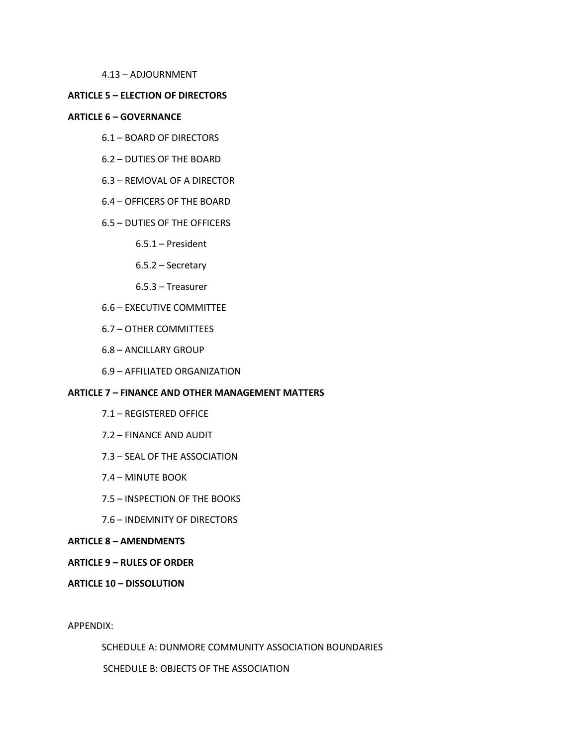4.13 – ADJOURNMENT

#### **ARTICLE 5 – ELECTION OF DIRECTORS**

#### **ARTICLE 6 – GOVERNANCE**

- 6.1 BOARD OF DIRECTORS
- 6.2 DUTIES OF THE BOARD
- 6.3 REMOVAL OF A DIRECTOR
- 6.4 OFFICERS OF THE BOARD

#### 6.5 – DUTIES OF THE OFFICERS

- 6.5.1 President
- 6.5.2 Secretary
- 6.5.3 Treasurer
- 6.6 EXECUTIVE COMMITTEE
- 6.7 OTHER COMMITTEES
- 6.8 ANCILLARY GROUP
- 6.9 AFFILIATED ORGANIZATION

#### **ARTICLE 7 – FINANCE AND OTHER MANAGEMENT MATTERS**

- 7.1 REGISTERED OFFICE
- 7.2 FINANCE AND AUDIT
- 7.3 SEAL OF THE ASSOCIATION
- 7.4 MINUTE BOOK
- 7.5 INSPECTION OF THE BOOKS
- 7.6 INDEMNITY OF DIRECTORS

#### **ARTICLE 8 – AMENDMENTS**

#### **ARTICLE 9 – RULES OF ORDER**

#### **ARTICLE 10 – DISSOLUTION**

APPENDIX:

SCHEDULE A: DUNMORE COMMUNITY ASSOCIATION BOUNDARIES

SCHEDULE B: OBJECTS OF THE ASSOCIATION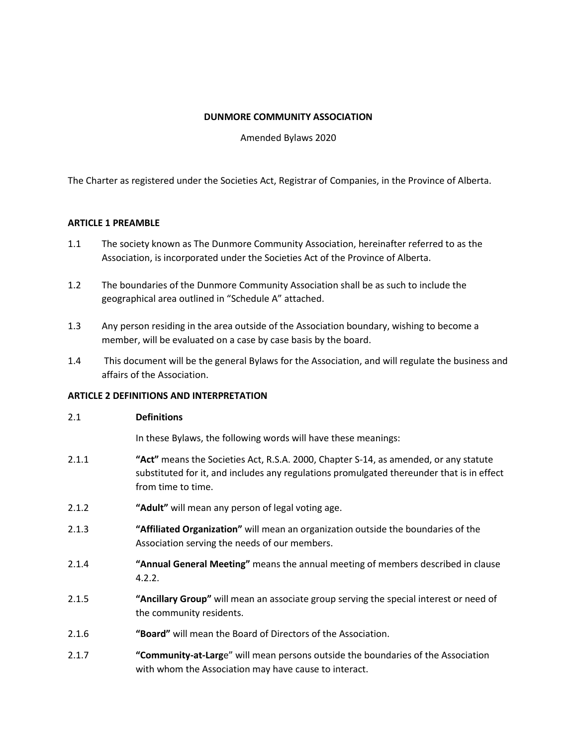#### **DUNMORE COMMUNITY ASSOCIATION**

Amended Bylaws 2020

The Charter as registered under the Societies Act, Registrar of Companies, in the Province of Alberta.

### **ARTICLE 1 PREAMBLE**

- 1.1 The society known as The Dunmore Community Association, hereinafter referred to as the Association, is incorporated under the Societies Act of the Province of Alberta.
- 1.2 The boundaries of the Dunmore Community Association shall be as such to include the geographical area outlined in "Schedule A" attached.
- 1.3 Any person residing in the area outside of the Association boundary, wishing to become a member, will be evaluated on a case by case basis by the board.
- 1.4 This document will be the general Bylaws for the Association, and will regulate the business and affairs of the Association.

#### **ARTICLE 2 DEFINITIONS AND INTERPRETATION**

#### 2.1 **Definitions**

In these Bylaws, the following words will have these meanings:

- 2.1.1 **"Act"** means the Societies Act, R.S.A. 2000, Chapter S-14, as amended, or any statute substituted for it, and includes any regulations promulgated thereunder that is in effect from time to time.
- 2.1.2 **"Adult"** will mean any person of legal voting age.
- 2.1.3 **"Affiliated Organization"** will mean an organization outside the boundaries of the Association serving the needs of our members.
- 2.1.4 **"Annual General Meeting"** means the annual meeting of members described in clause 4.2.2.
- 2.1.5 **"Ancillary Group"** will mean an associate group serving the special interest or need of the community residents.
- 2.1.6 **"Board"** will mean the Board of Directors of the Association.
- 2.1.7 **"Community-at-Larg**e" will mean persons outside the boundaries of the Association with whom the Association may have cause to interact.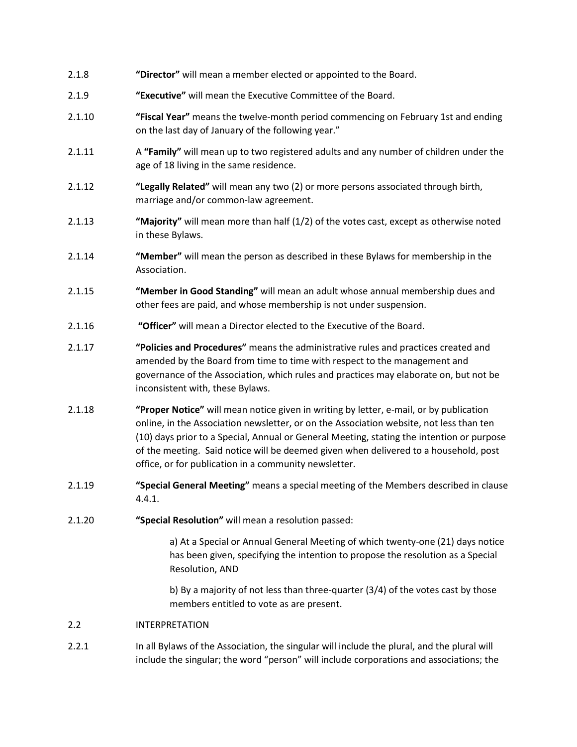| 2.1.8  | "Director" will mean a member elected or appointed to the Board.                                                                                                                                                                                                                             |
|--------|----------------------------------------------------------------------------------------------------------------------------------------------------------------------------------------------------------------------------------------------------------------------------------------------|
| 2.1.9  | "Executive" will mean the Executive Committee of the Board.                                                                                                                                                                                                                                  |
| 2.1.10 | "Fiscal Year" means the twelve-month period commencing on February 1st and ending<br>on the last day of January of the following year."                                                                                                                                                      |
| 2.1.11 | A "Family" will mean up to two registered adults and any number of children under the<br>age of 18 living in the same residence.                                                                                                                                                             |
| 2.1.12 | "Legally Related" will mean any two (2) or more persons associated through birth,<br>marriage and/or common-law agreement.                                                                                                                                                                   |
| 2.1.13 | "Majority" will mean more than half (1/2) of the votes cast, except as otherwise noted<br>in these Bylaws.                                                                                                                                                                                   |
| 2.1.14 | "Member" will mean the person as described in these Bylaws for membership in the<br>Association.                                                                                                                                                                                             |
| 2.1.15 | "Member in Good Standing" will mean an adult whose annual membership dues and<br>other fees are paid, and whose membership is not under suspension.                                                                                                                                          |
| 2.1.16 | "Officer" will mean a Director elected to the Executive of the Board.                                                                                                                                                                                                                        |
| 2.1.17 | "Policies and Procedures" means the administrative rules and practices created and<br>amended by the Board from time to time with respect to the management and<br>governance of the Association, which rules and practices may elaborate on, but not be<br>inconsistent with, these Bylaws. |
| 2.1.18 | "Proper Notice" will mean notice given in writing by letter, e-mail, or by publication<br>online, in the Association newsletter, or on the Association website, not less than ten<br>(10) days prior to a Special, Annual or General Meeting, stating the intention or purpose               |

2.1.19 **"Special General Meeting"** means a special meeting of the Members described in clause 4.4.1.

of the meeting. Said notice will be deemed given when delivered to a household, post

2.1.20 **"Special Resolution"** will mean a resolution passed:

office, or for publication in a community newsletter.

a) At a Special or Annual General Meeting of which twenty-one (21) days notice has been given, specifying the intention to propose the resolution as a Special Resolution, AND

b) By a majority of not less than three-quarter (3/4) of the votes cast by those members entitled to vote as are present.

## 2.2 INTERPRETATION

2.2.1 In all Bylaws of the Association, the singular will include the plural, and the plural will include the singular; the word "person" will include corporations and associations; the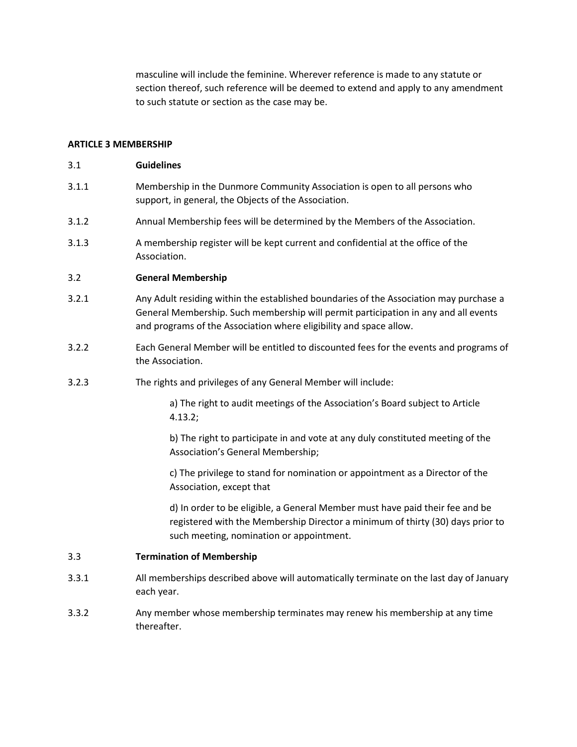masculine will include the feminine. Wherever reference is made to any statute or section thereof, such reference will be deemed to extend and apply to any amendment to such statute or section as the case may be.

#### **ARTICLE 3 MEMBERSHIP**

### 3.1 **Guidelines**

- 3.1.1 Membership in the Dunmore Community Association is open to all persons who support, in general, the Objects of the Association.
- 3.1.2 Annual Membership fees will be determined by the Members of the Association.
- 3.1.3 A membership register will be kept current and confidential at the office of the Association.

#### 3.2 **General Membership**

- 3.2.1 Any Adult residing within the established boundaries of the Association may purchase a General Membership. Such membership will permit participation in any and all events and programs of the Association where eligibility and space allow.
- 3.2.2 Each General Member will be entitled to discounted fees for the events and programs of the Association.
- 3.2.3 The rights and privileges of any General Member will include:

a) The right to audit meetings of the Association's Board subject to Article 4.13.2;

b) The right to participate in and vote at any duly constituted meeting of the Association's General Membership;

c) The privilege to stand for nomination or appointment as a Director of the Association, except that

d) In order to be eligible, a General Member must have paid their fee and be registered with the Membership Director a minimum of thirty (30) days prior to such meeting, nomination or appointment.

#### 3.3 **Termination of Membership**

- 3.3.1 All memberships described above will automatically terminate on the last day of January each year.
- 3.3.2 Any member whose membership terminates may renew his membership at any time thereafter.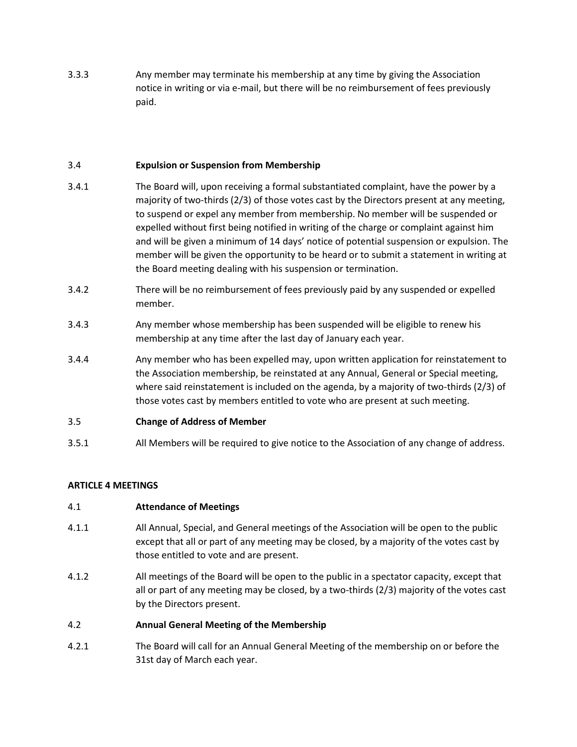3.3.3 Any member may terminate his membership at any time by giving the Association notice in writing or via e-mail, but there will be no reimbursement of fees previously paid.

## 3.4 **Expulsion or Suspension from Membership**

- 3.4.1 The Board will, upon receiving a formal substantiated complaint, have the power by a majority of two-thirds (2/3) of those votes cast by the Directors present at any meeting, to suspend or expel any member from membership. No member will be suspended or expelled without first being notified in writing of the charge or complaint against him and will be given a minimum of 14 days' notice of potential suspension or expulsion. The member will be given the opportunity to be heard or to submit a statement in writing at the Board meeting dealing with his suspension or termination.
- 3.4.2 There will be no reimbursement of fees previously paid by any suspended or expelled member.
- 3.4.3 Any member whose membership has been suspended will be eligible to renew his membership at any time after the last day of January each year.
- 3.4.4 Any member who has been expelled may, upon written application for reinstatement to the Association membership, be reinstated at any Annual, General or Special meeting, where said reinstatement is included on the agenda, by a majority of two-thirds (2/3) of those votes cast by members entitled to vote who are present at such meeting.

## 3.5 **Change of Address of Member**

3.5.1 All Members will be required to give notice to the Association of any change of address.

## **ARTICLE 4 MEETINGS**

#### 4.1 **Attendance of Meetings**

- 4.1.1 All Annual, Special, and General meetings of the Association will be open to the public except that all or part of any meeting may be closed, by a majority of the votes cast by those entitled to vote and are present.
- 4.1.2 All meetings of the Board will be open to the public in a spectator capacity, except that all or part of any meeting may be closed, by a two-thirds (2/3) majority of the votes cast by the Directors present.

#### 4.2 **Annual General Meeting of the Membership**

4.2.1 The Board will call for an Annual General Meeting of the membership on or before the 31st day of March each year.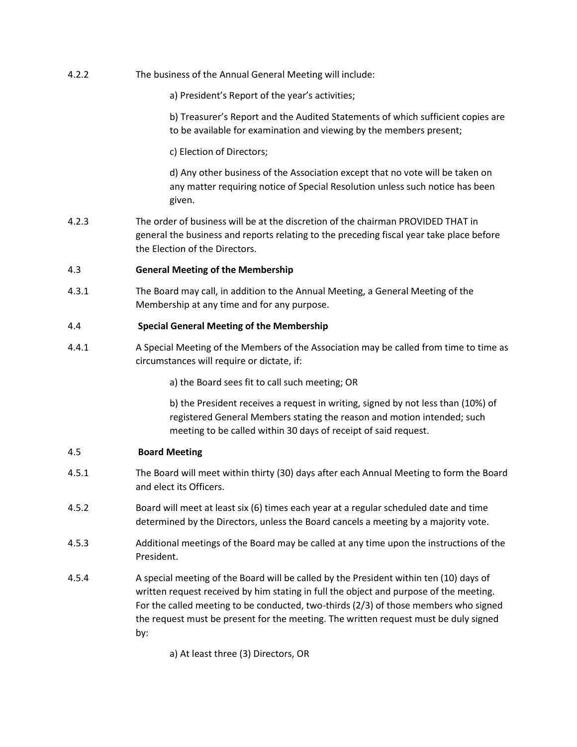4.2.2 The business of the Annual General Meeting will include:

a) President's Report of the year's activities;

b) Treasurer's Report and the Audited Statements of which sufficient copies are to be available for examination and viewing by the members present;

c) Election of Directors;

d) Any other business of the Association except that no vote will be taken on any matter requiring notice of Special Resolution unless such notice has been given.

4.2.3 The order of business will be at the discretion of the chairman PROVIDED THAT in general the business and reports relating to the preceding fiscal year take place before the Election of the Directors.

### 4.3 **General Meeting of the Membership**

4.3.1 The Board may call, in addition to the Annual Meeting, a General Meeting of the Membership at any time and for any purpose.

### 4.4 **Special General Meeting of the Membership**

4.4.1 A Special Meeting of the Members of the Association may be called from time to time as circumstances will require or dictate, if:

a) the Board sees fit to call such meeting; OR

b) the President receives a request in writing, signed by not less than (10%) of registered General Members stating the reason and motion intended; such meeting to be called within 30 days of receipt of said request.

#### 4.5 **Board Meeting**

- 4.5.1 The Board will meet within thirty (30) days after each Annual Meeting to form the Board and elect its Officers.
- 4.5.2 Board will meet at least six (6) times each year at a regular scheduled date and time determined by the Directors, unless the Board cancels a meeting by a majority vote.
- 4.5.3 Additional meetings of the Board may be called at any time upon the instructions of the President.
- 4.5.4 A special meeting of the Board will be called by the President within ten (10) days of written request received by him stating in full the object and purpose of the meeting. For the called meeting to be conducted, two-thirds (2/3) of those members who signed the request must be present for the meeting. The written request must be duly signed by:

a) At least three (3) Directors, OR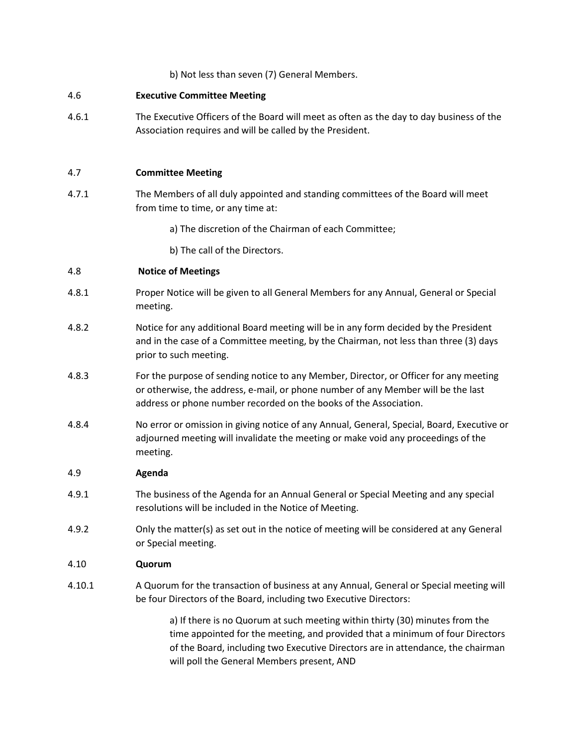### b) Not less than seven (7) General Members.

#### 4.6 **Executive Committee Meeting**

4.6.1 The Executive Officers of the Board will meet as often as the day to day business of the Association requires and will be called by the President.

### 4.7 **Committee Meeting**

- 4.7.1 The Members of all duly appointed and standing committees of the Board will meet from time to time, or any time at:
	- a) The discretion of the Chairman of each Committee;
	- b) The call of the Directors.

## 4.8 **Notice of Meetings**

- 4.8.1 Proper Notice will be given to all General Members for any Annual, General or Special meeting.
- 4.8.2 Notice for any additional Board meeting will be in any form decided by the President and in the case of a Committee meeting, by the Chairman, not less than three (3) days prior to such meeting.
- 4.8.3 For the purpose of sending notice to any Member, Director, or Officer for any meeting or otherwise, the address, e-mail, or phone number of any Member will be the last address or phone number recorded on the books of the Association.
- 4.8.4 No error or omission in giving notice of any Annual, General, Special, Board, Executive or adjourned meeting will invalidate the meeting or make void any proceedings of the meeting.

#### 4.9 **Agenda**

- 4.9.1 The business of the Agenda for an Annual General or Special Meeting and any special resolutions will be included in the Notice of Meeting.
- 4.9.2 Only the matter(s) as set out in the notice of meeting will be considered at any General or Special meeting.

#### 4.10 **Quorum**

4.10.1 A Quorum for the transaction of business at any Annual, General or Special meeting will be four Directors of the Board, including two Executive Directors:

> a) If there is no Quorum at such meeting within thirty (30) minutes from the time appointed for the meeting, and provided that a minimum of four Directors of the Board, including two Executive Directors are in attendance, the chairman will poll the General Members present, AND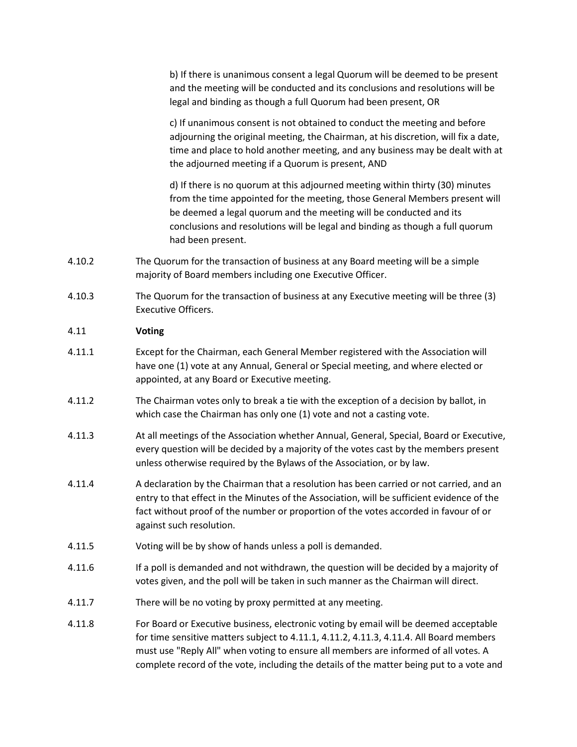b) If there is unanimous consent a legal Quorum will be deemed to be present and the meeting will be conducted and its conclusions and resolutions will be legal and binding as though a full Quorum had been present, OR

c) If unanimous consent is not obtained to conduct the meeting and before adjourning the original meeting, the Chairman, at his discretion, will fix a date, time and place to hold another meeting, and any business may be dealt with at the adjourned meeting if a Quorum is present, AND

d) If there is no quorum at this adjourned meeting within thirty (30) minutes from the time appointed for the meeting, those General Members present will be deemed a legal quorum and the meeting will be conducted and its conclusions and resolutions will be legal and binding as though a full quorum had been present.

- 4.10.2 The Quorum for the transaction of business at any Board meeting will be a simple majority of Board members including one Executive Officer.
- 4.10.3 The Quorum for the transaction of business at any Executive meeting will be three (3) Executive Officers.

### 4.11 **Voting**

- 4.11.1 Except for the Chairman, each General Member registered with the Association will have one (1) vote at any Annual, General or Special meeting, and where elected or appointed, at any Board or Executive meeting.
- 4.11.2 The Chairman votes only to break a tie with the exception of a decision by ballot, in which case the Chairman has only one (1) vote and not a casting vote.
- 4.11.3 At all meetings of the Association whether Annual, General, Special, Board or Executive, every question will be decided by a majority of the votes cast by the members present unless otherwise required by the Bylaws of the Association, or by law.
- 4.11.4 A declaration by the Chairman that a resolution has been carried or not carried, and an entry to that effect in the Minutes of the Association, will be sufficient evidence of the fact without proof of the number or proportion of the votes accorded in favour of or against such resolution.
- 4.11.5 Voting will be by show of hands unless a poll is demanded.
- 4.11.6 If a poll is demanded and not withdrawn, the question will be decided by a majority of votes given, and the poll will be taken in such manner as the Chairman will direct.
- 4.11.7 There will be no voting by proxy permitted at any meeting.
- 4.11.8 For Board or Executive business, electronic voting by email will be deemed acceptable for time sensitive matters subject to 4.11.1, 4.11.2, 4.11.3, 4.11.4. All Board members must use "Reply All" when voting to ensure all members are informed of all votes. A complete record of the vote, including the details of the matter being put to a vote and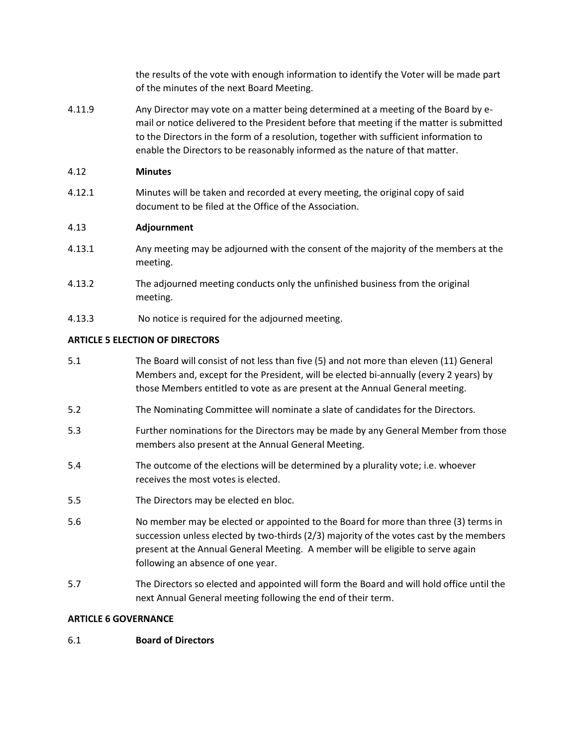the results of the vote with enough information to identify the Voter will be made part of the minutes of the next Board Meeting.

4.11.9 Any Director may vote on a matter being determined at a meeting of the Board by email or notice delivered to the President before that meeting if the matter is submitted to the Directors in the form of a resolution, together with sufficient information to enable the Directors to be reasonably informed as the nature of that matter.

## 4.12 **Minutes**

4.12.1 Minutes will be taken and recorded at every meeting, the original copy of said document to be filed at the Office of the Association.

## 4.13 **Adjournment**

- 4.13.1 Any meeting may be adjourned with the consent of the majority of the members at the meeting.
- 4.13.2 The adjourned meeting conducts only the unfinished business from the original meeting.
- 4.13.3 No notice is required for the adjourned meeting.

## **ARTICLE 5 ELECTION OF DIRECTORS**

- 5.1 The Board will consist of not less than five (5) and not more than eleven (11) General Members and, except for the President, will be elected bi-annually (every 2 years) by those Members entitled to vote as are present at the Annual General meeting.
- 5.2 The Nominating Committee will nominate a slate of candidates for the Directors.
- 5.3 Further nominations for the Directors may be made by any General Member from those members also present at the Annual General Meeting.
- 5.4 The outcome of the elections will be determined by a plurality vote; i.e. whoever receives the most votes is elected.
- 5.5 The Directors may be elected en bloc.
- 5.6 No member may be elected or appointed to the Board for more than three (3) terms in succession unless elected by two-thirds (2/3) majority of the votes cast by the members present at the Annual General Meeting. A member will be eligible to serve again following an absence of one year.
- 5.7 The Directors so elected and appointed will form the Board and will hold office until the next Annual General meeting following the end of their term.

## **ARTICLE 6 GOVERNANCE**

## 6.1 **Board of Directors**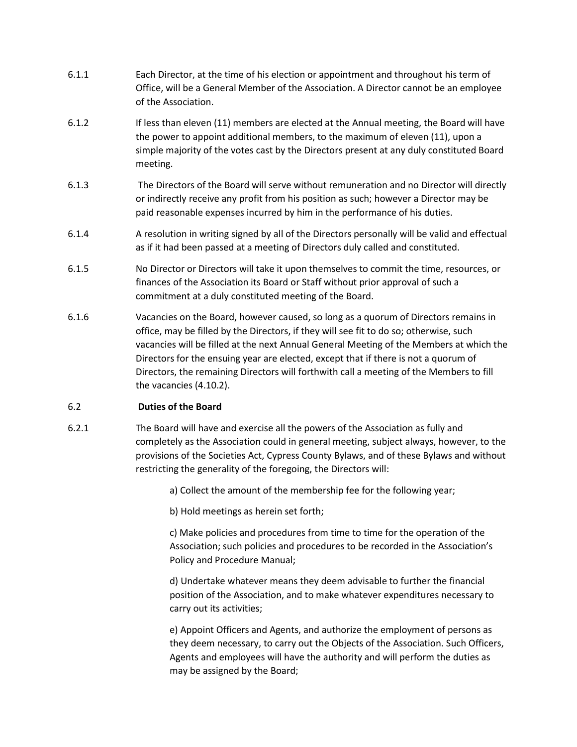- 6.1.1 Each Director, at the time of his election or appointment and throughout his term of Office, will be a General Member of the Association. A Director cannot be an employee of the Association.
- 6.1.2 If less than eleven (11) members are elected at the Annual meeting, the Board will have the power to appoint additional members, to the maximum of eleven (11), upon a simple majority of the votes cast by the Directors present at any duly constituted Board meeting.
- 6.1.3 The Directors of the Board will serve without remuneration and no Director will directly or indirectly receive any profit from his position as such; however a Director may be paid reasonable expenses incurred by him in the performance of his duties.
- 6.1.4 A resolution in writing signed by all of the Directors personally will be valid and effectual as if it had been passed at a meeting of Directors duly called and constituted.
- 6.1.5 No Director or Directors will take it upon themselves to commit the time, resources, or finances of the Association its Board or Staff without prior approval of such a commitment at a duly constituted meeting of the Board.
- 6.1.6 Vacancies on the Board, however caused, so long as a quorum of Directors remains in office, may be filled by the Directors, if they will see fit to do so; otherwise, such vacancies will be filled at the next Annual General Meeting of the Members at which the Directors for the ensuing year are elected, except that if there is not a quorum of Directors, the remaining Directors will forthwith call a meeting of the Members to fill the vacancies (4.10.2).

## 6.2 **Duties of the Board**

6.2.1 The Board will have and exercise all the powers of the Association as fully and completely as the Association could in general meeting, subject always, however, to the provisions of the Societies Act, Cypress County Bylaws, and of these Bylaws and without restricting the generality of the foregoing, the Directors will:

a) Collect the amount of the membership fee for the following year;

b) Hold meetings as herein set forth;

c) Make policies and procedures from time to time for the operation of the Association; such policies and procedures to be recorded in the Association's Policy and Procedure Manual;

d) Undertake whatever means they deem advisable to further the financial position of the Association, and to make whatever expenditures necessary to carry out its activities;

e) Appoint Officers and Agents, and authorize the employment of persons as they deem necessary, to carry out the Objects of the Association. Such Officers, Agents and employees will have the authority and will perform the duties as may be assigned by the Board;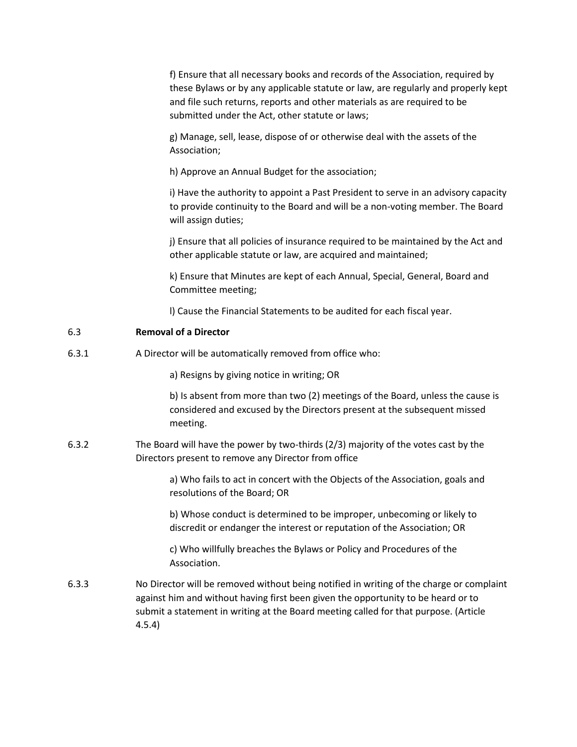f) Ensure that all necessary books and records of the Association, required by these Bylaws or by any applicable statute or law, are regularly and properly kept and file such returns, reports and other materials as are required to be submitted under the Act, other statute or laws;

g) Manage, sell, lease, dispose of or otherwise deal with the assets of the Association;

h) Approve an Annual Budget for the association;

i) Have the authority to appoint a Past President to serve in an advisory capacity to provide continuity to the Board and will be a non-voting member. The Board will assign duties;

j) Ensure that all policies of insurance required to be maintained by the Act and other applicable statute or law, are acquired and maintained;

k) Ensure that Minutes are kept of each Annual, Special, General, Board and Committee meeting;

l) Cause the Financial Statements to be audited for each fiscal year.

### 6.3 **Removal of a Director**

6.3.1 A Director will be automatically removed from office who:

a) Resigns by giving notice in writing; OR

b) Is absent from more than two (2) meetings of the Board, unless the cause is considered and excused by the Directors present at the subsequent missed meeting.

6.3.2 The Board will have the power by two-thirds (2/3) majority of the votes cast by the Directors present to remove any Director from office

> a) Who fails to act in concert with the Objects of the Association, goals and resolutions of the Board; OR

b) Whose conduct is determined to be improper, unbecoming or likely to discredit or endanger the interest or reputation of the Association; OR

c) Who willfully breaches the Bylaws or Policy and Procedures of the Association.

6.3.3 No Director will be removed without being notified in writing of the charge or complaint against him and without having first been given the opportunity to be heard or to submit a statement in writing at the Board meeting called for that purpose. (Article 4.5.4)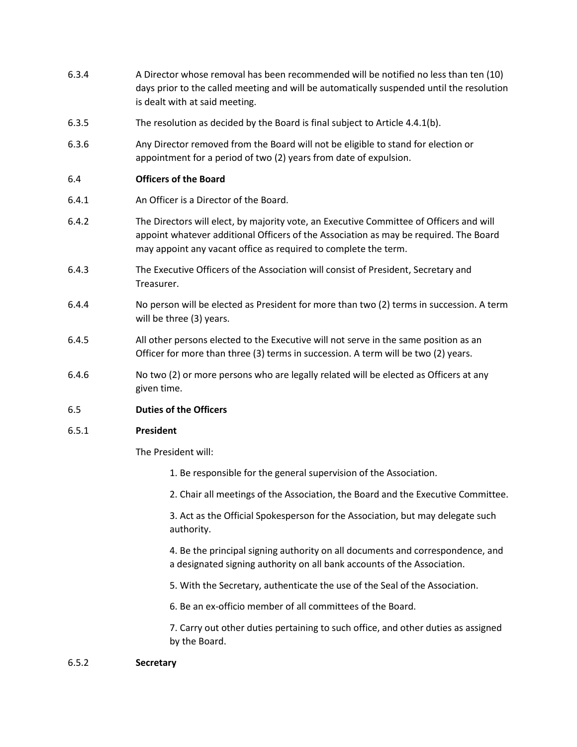- 6.3.4 A Director whose removal has been recommended will be notified no less than ten (10) days prior to the called meeting and will be automatically suspended until the resolution is dealt with at said meeting.
- 6.3.5 The resolution as decided by the Board is final subject to Article 4.4.1(b).
- 6.3.6 Any Director removed from the Board will not be eligible to stand for election or appointment for a period of two (2) years from date of expulsion.

#### 6.4 **Officers of the Board**

- 6.4.1 An Officer is a Director of the Board.
- 6.4.2 The Directors will elect, by majority vote, an Executive Committee of Officers and will appoint whatever additional Officers of the Association as may be required. The Board may appoint any vacant office as required to complete the term.
- 6.4.3 The Executive Officers of the Association will consist of President, Secretary and Treasurer.
- 6.4.4 No person will be elected as President for more than two (2) terms in succession. A term will be three (3) years.
- 6.4.5 All other persons elected to the Executive will not serve in the same position as an Officer for more than three (3) terms in succession. A term will be two (2) years.
- 6.4.6 No two (2) or more persons who are legally related will be elected as Officers at any given time.

#### 6.5 **Duties of the Officers**

#### 6.5.1 **President**

The President will:

- 1. Be responsible for the general supervision of the Association.
- 2. Chair all meetings of the Association, the Board and the Executive Committee.

3. Act as the Official Spokesperson for the Association, but may delegate such authority.

4. Be the principal signing authority on all documents and correspondence, and a designated signing authority on all bank accounts of the Association.

- 5. With the Secretary, authenticate the use of the Seal of the Association.
- 6. Be an ex-officio member of all committees of the Board.

7. Carry out other duties pertaining to such office, and other duties as assigned by the Board.

#### 6.5.2 **Secretary**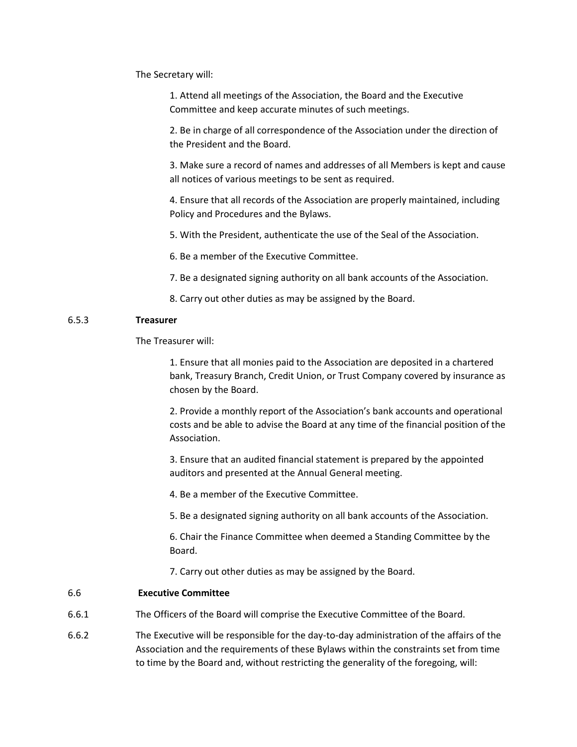The Secretary will:

1. Attend all meetings of the Association, the Board and the Executive Committee and keep accurate minutes of such meetings.

2. Be in charge of all correspondence of the Association under the direction of the President and the Board.

3. Make sure a record of names and addresses of all Members is kept and cause all notices of various meetings to be sent as required.

4. Ensure that all records of the Association are properly maintained, including Policy and Procedures and the Bylaws.

5. With the President, authenticate the use of the Seal of the Association.

6. Be a member of the Executive Committee.

7. Be a designated signing authority on all bank accounts of the Association.

8. Carry out other duties as may be assigned by the Board.

### 6.5.3 **Treasurer**

The Treasurer will:

1. Ensure that all monies paid to the Association are deposited in a chartered bank, Treasury Branch, Credit Union, or Trust Company covered by insurance as chosen by the Board.

2. Provide a monthly report of the Association's bank accounts and operational costs and be able to advise the Board at any time of the financial position of the Association.

3. Ensure that an audited financial statement is prepared by the appointed auditors and presented at the Annual General meeting.

4. Be a member of the Executive Committee.

5. Be a designated signing authority on all bank accounts of the Association.

6. Chair the Finance Committee when deemed a Standing Committee by the Board.

7. Carry out other duties as may be assigned by the Board.

#### 6.6 **Executive Committee**

- 6.6.1 The Officers of the Board will comprise the Executive Committee of the Board.
- 6.6.2 The Executive will be responsible for the day-to-day administration of the affairs of the Association and the requirements of these Bylaws within the constraints set from time to time by the Board and, without restricting the generality of the foregoing, will: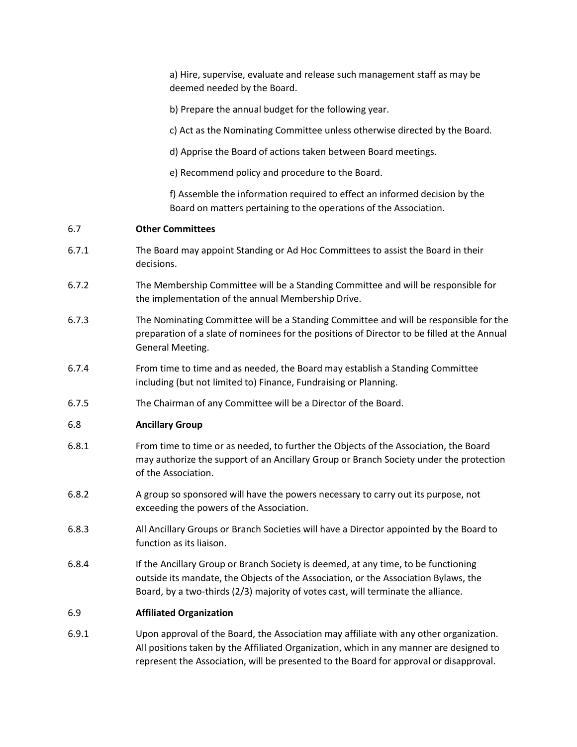a) Hire, supervise, evaluate and release such management staff as may be deemed needed by the Board.

b) Prepare the annual budget for the following year.

c) Act as the Nominating Committee unless otherwise directed by the Board.

d) Apprise the Board of actions taken between Board meetings.

e) Recommend policy and procedure to the Board.

f) Assemble the information required to effect an informed decision by the Board on matters pertaining to the operations of the Association.

#### 6.7 **Other Committees**

- 6.7.1 The Board may appoint Standing or Ad Hoc Committees to assist the Board in their decisions.
- 6.7.2 The Membership Committee will be a Standing Committee and will be responsible for the implementation of the annual Membership Drive.
- 6.7.3 The Nominating Committee will be a Standing Committee and will be responsible for the preparation of a slate of nominees for the positions of Director to be filled at the Annual General Meeting.
- 6.7.4 From time to time and as needed, the Board may establish a Standing Committee including (but not limited to) Finance, Fundraising or Planning.
- 6.7.5 The Chairman of any Committee will be a Director of the Board.

#### 6.8 **Ancillary Group**

- 6.8.1 From time to time or as needed, to further the Objects of the Association, the Board may authorize the support of an Ancillary Group or Branch Society under the protection of the Association.
- 6.8.2 A group so sponsored will have the powers necessary to carry out its purpose, not exceeding the powers of the Association.
- 6.8.3 All Ancillary Groups or Branch Societies will have a Director appointed by the Board to function as its liaison.
- 6.8.4 If the Ancillary Group or Branch Society is deemed, at any time, to be functioning outside its mandate, the Objects of the Association, or the Association Bylaws, the Board, by a two-thirds (2/3) majority of votes cast, will terminate the alliance.

#### 6.9 **Affiliated Organization**

6.9.1 Upon approval of the Board, the Association may affiliate with any other organization. All positions taken by the Affiliated Organization, which in any manner are designed to represent the Association, will be presented to the Board for approval or disapproval.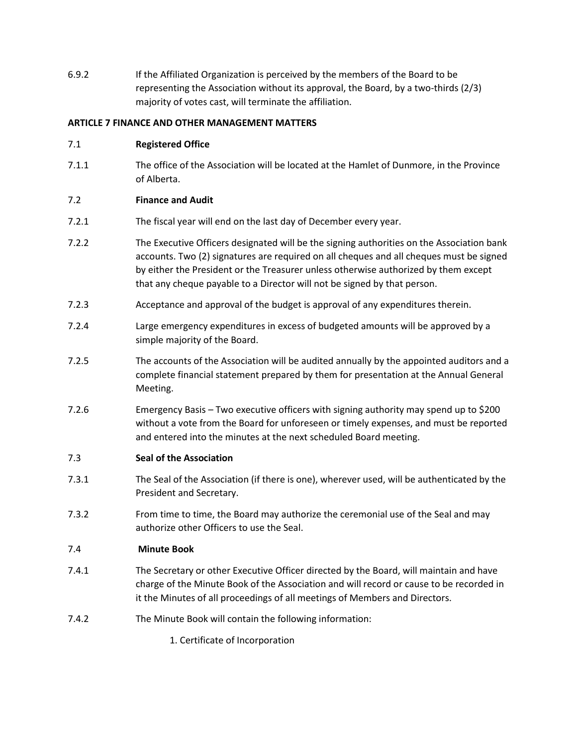6.9.2 If the Affiliated Organization is perceived by the members of the Board to be representing the Association without its approval, the Board, by a two-thirds (2/3) majority of votes cast, will terminate the affiliation.

## **ARTICLE 7 FINANCE AND OTHER MANAGEMENT MATTERS**

### 7.1 **Registered Office**

7.1.1 The office of the Association will be located at the Hamlet of Dunmore, in the Province of Alberta.

## 7.2 **Finance and Audit**

- 7.2.1 The fiscal year will end on the last day of December every year.
- 7.2.2 The Executive Officers designated will be the signing authorities on the Association bank accounts. Two (2) signatures are required on all cheques and all cheques must be signed by either the President or the Treasurer unless otherwise authorized by them except that any cheque payable to a Director will not be signed by that person.
- 7.2.3 Acceptance and approval of the budget is approval of any expenditures therein.
- 7.2.4 Large emergency expenditures in excess of budgeted amounts will be approved by a simple majority of the Board.
- 7.2.5 The accounts of the Association will be audited annually by the appointed auditors and a complete financial statement prepared by them for presentation at the Annual General Meeting.
- 7.2.6 Emergency Basis Two executive officers with signing authority may spend up to \$200 without a vote from the Board for unforeseen or timely expenses, and must be reported and entered into the minutes at the next scheduled Board meeting.

## 7.3 **Seal of the Association**

- 7.3.1 The Seal of the Association (if there is one), wherever used, will be authenticated by the President and Secretary.
- 7.3.2 From time to time, the Board may authorize the ceremonial use of the Seal and may authorize other Officers to use the Seal.

#### 7.4 **Minute Book**

- 7.4.1 The Secretary or other Executive Officer directed by the Board, will maintain and have charge of the Minute Book of the Association and will record or cause to be recorded in it the Minutes of all proceedings of all meetings of Members and Directors.
- 7.4.2 The Minute Book will contain the following information:

1. Certificate of Incorporation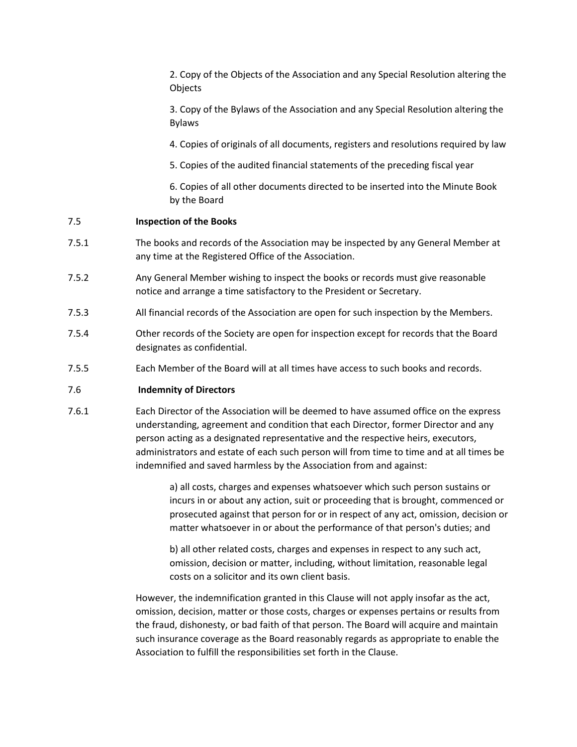2. Copy of the Objects of the Association and any Special Resolution altering the Objects

3. Copy of the Bylaws of the Association and any Special Resolution altering the Bylaws

4. Copies of originals of all documents, registers and resolutions required by law

5. Copies of the audited financial statements of the preceding fiscal year

6. Copies of all other documents directed to be inserted into the Minute Book by the Board

### 7.5 **Inspection of the Books**

- 7.5.1 The books and records of the Association may be inspected by any General Member at any time at the Registered Office of the Association.
- 7.5.2 Any General Member wishing to inspect the books or records must give reasonable notice and arrange a time satisfactory to the President or Secretary.
- 7.5.3 All financial records of the Association are open for such inspection by the Members.
- 7.5.4 Other records of the Society are open for inspection except for records that the Board designates as confidential.
- 7.5.5 Each Member of the Board will at all times have access to such books and records.

## 7.6 **Indemnity of Directors**

7.6.1 Each Director of the Association will be deemed to have assumed office on the express understanding, agreement and condition that each Director, former Director and any person acting as a designated representative and the respective heirs, executors, administrators and estate of each such person will from time to time and at all times be indemnified and saved harmless by the Association from and against:

> a) all costs, charges and expenses whatsoever which such person sustains or incurs in or about any action, suit or proceeding that is brought, commenced or prosecuted against that person for or in respect of any act, omission, decision or matter whatsoever in or about the performance of that person's duties; and

b) all other related costs, charges and expenses in respect to any such act, omission, decision or matter, including, without limitation, reasonable legal costs on a solicitor and its own client basis.

However, the indemnification granted in this Clause will not apply insofar as the act, omission, decision, matter or those costs, charges or expenses pertains or results from the fraud, dishonesty, or bad faith of that person. The Board will acquire and maintain such insurance coverage as the Board reasonably regards as appropriate to enable the Association to fulfill the responsibilities set forth in the Clause.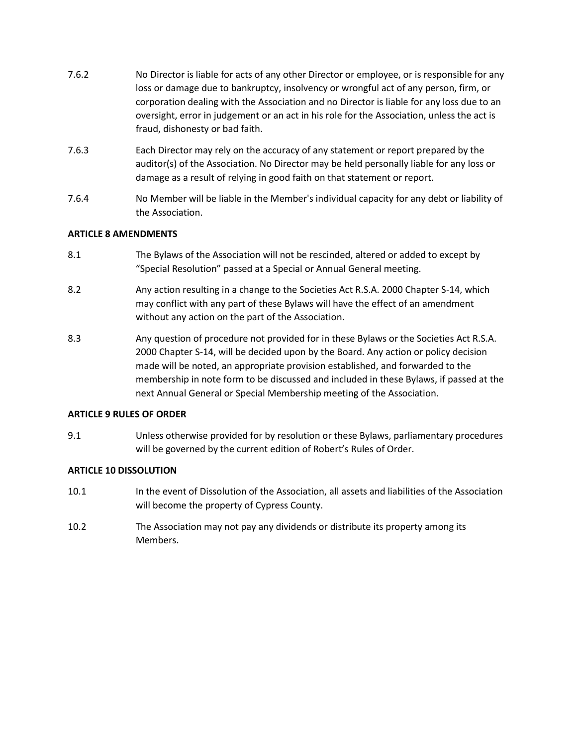- 7.6.2 No Director is liable for acts of any other Director or employee, or is responsible for any loss or damage due to bankruptcy, insolvency or wrongful act of any person, firm, or corporation dealing with the Association and no Director is liable for any loss due to an oversight, error in judgement or an act in his role for the Association, unless the act is fraud, dishonesty or bad faith.
- 7.6.3 Each Director may rely on the accuracy of any statement or report prepared by the auditor(s) of the Association. No Director may be held personally liable for any loss or damage as a result of relying in good faith on that statement or report.
- 7.6.4 No Member will be liable in the Member's individual capacity for any debt or liability of the Association.

## **ARTICLE 8 AMENDMENTS**

- 8.1 The Bylaws of the Association will not be rescinded, altered or added to except by "Special Resolution" passed at a Special or Annual General meeting.
- 8.2 Any action resulting in a change to the Societies Act R.S.A. 2000 Chapter S-14, which may conflict with any part of these Bylaws will have the effect of an amendment without any action on the part of the Association.
- 8.3 Any question of procedure not provided for in these Bylaws or the Societies Act R.S.A. 2000 Chapter S-14, will be decided upon by the Board. Any action or policy decision made will be noted, an appropriate provision established, and forwarded to the membership in note form to be discussed and included in these Bylaws, if passed at the next Annual General or Special Membership meeting of the Association.

#### **ARTICLE 9 RULES OF ORDER**

9.1 Unless otherwise provided for by resolution or these Bylaws, parliamentary procedures will be governed by the current edition of Robert's Rules of Order.

#### **ARTICLE 10 DISSOLUTION**

- 10.1 In the event of Dissolution of the Association, all assets and liabilities of the Association will become the property of Cypress County.
- 10.2 The Association may not pay any dividends or distribute its property among its Members.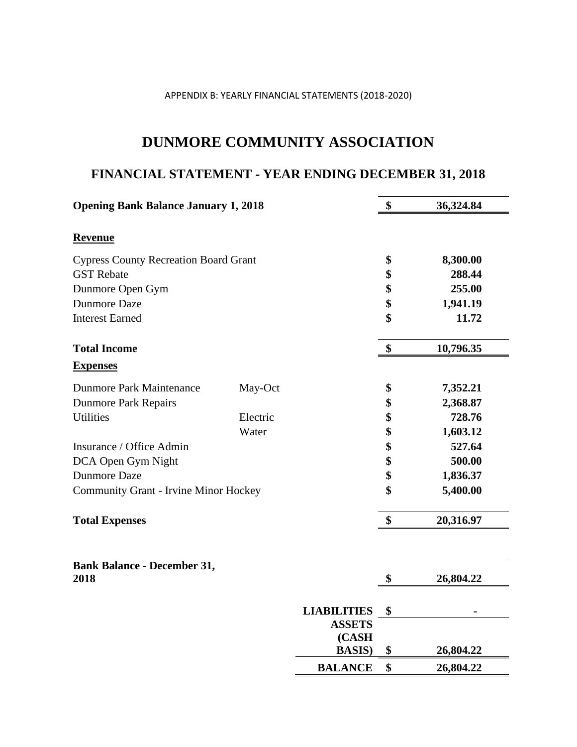## APPENDIX B: YEARLY FINANCIAL STATEMENTS (2018-2020)

## **DUNMORE COMMUNITY ASSOCIATION**

# **FINANCIAL STATEMENT - YEAR ENDING DECEMBER 31, 2018**

| <b>Opening Bank Balance January 1, 2018</b>  |          |                    | \$<br>36,324.84 |
|----------------------------------------------|----------|--------------------|-----------------|
| <b>Revenue</b>                               |          |                    |                 |
| <b>Cypress County Recreation Board Grant</b> |          |                    | \$<br>8,300.00  |
| <b>GST</b> Rebate                            |          |                    | \$<br>288.44    |
| Dunmore Open Gym                             |          |                    | \$<br>255.00    |
| <b>Dunmore Daze</b>                          |          |                    | \$<br>1,941.19  |
| <b>Interest Earned</b>                       |          |                    | \$<br>11.72     |
| <b>Total Income</b>                          |          |                    | \$<br>10,796.35 |
| <b>Expenses</b>                              |          |                    |                 |
| <b>Dunmore Park Maintenance</b>              | May-Oct  |                    | \$<br>7,352.21  |
| <b>Dunmore Park Repairs</b>                  |          |                    | \$<br>2,368.87  |
| <b>Utilities</b>                             | Electric |                    | \$<br>728.76    |
|                                              | Water    |                    | \$<br>1,603.12  |
| Insurance / Office Admin                     |          |                    | \$<br>527.64    |
| DCA Open Gym Night                           |          |                    | \$<br>500.00    |
| <b>Dunmore Daze</b>                          |          |                    | \$<br>1,836.37  |
| <b>Community Grant - Irvine Minor Hockey</b> |          |                    | \$<br>5,400.00  |
| <b>Total Expenses</b>                        |          |                    | \$<br>20,316.97 |
| <b>Bank Balance - December 31,</b><br>2018   |          |                    | \$<br>26,804.22 |
|                                              |          | <b>LIABILITIES</b> | \$              |
|                                              |          | <b>ASSETS</b>      |                 |
|                                              |          | (CASH              |                 |
|                                              |          | <b>BASIS</b> )     | \$<br>26,804.22 |
|                                              |          | <b>BALANCE</b>     | \$<br>26,804.22 |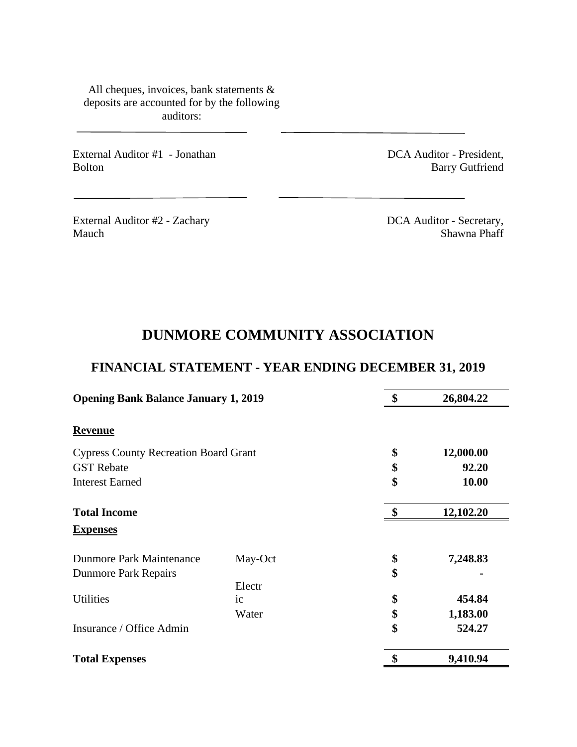All cheques, invoices, bank statements & deposits are accounted for by the following auditors:

External Auditor #1 - Jonathan Bolton

DCA Auditor - President, Barry Gutfriend

External Auditor #2 - Zachary Mauch

DCA Auditor - Secretary, Shawna Phaff

# **DUNMORE COMMUNITY ASSOCIATION**

# **FINANCIAL STATEMENT - YEAR ENDING DECEMBER 31, 2019**

| <b>Opening Bank Balance January 1, 2019</b>  | 26,804.22 |                 |
|----------------------------------------------|-----------|-----------------|
| <b>Revenue</b>                               |           |                 |
| <b>Cypress County Recreation Board Grant</b> |           | \$<br>12,000.00 |
| <b>GST</b> Rebate                            |           | \$<br>92.20     |
| <b>Interest Earned</b>                       |           | \$<br>10.00     |
| <b>Total Income</b>                          |           | \$<br>12,102.20 |
| <b>Expenses</b>                              |           |                 |
| <b>Dunmore Park Maintenance</b>              | May-Oct   | \$<br>7,248.83  |
| <b>Dunmore Park Repairs</b>                  |           | \$              |
|                                              | Electr    |                 |
| <b>Utilities</b>                             | ic        | \$<br>454.84    |
|                                              | Water     | \$<br>1,183.00  |
| Insurance / Office Admin                     |           | \$<br>524.27    |
| <b>Total Expenses</b>                        |           | 9,410.94        |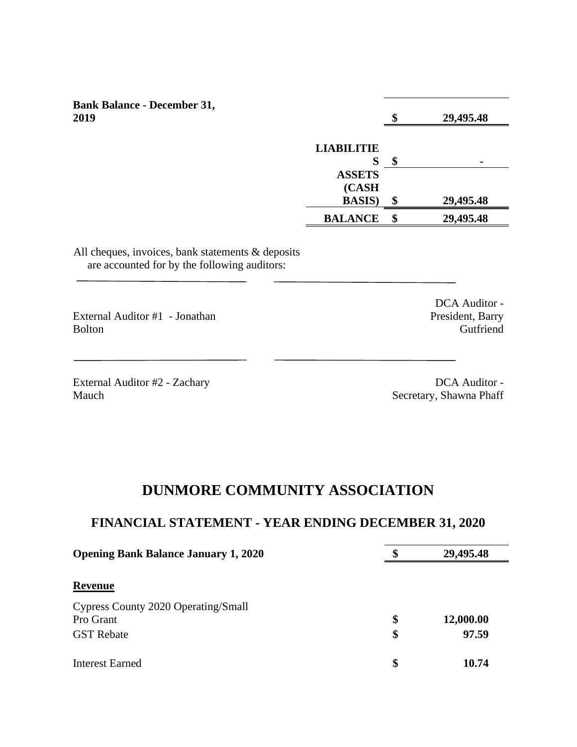| <b>Bank Balance - December 31,</b> |                   |   |           |
|------------------------------------|-------------------|---|-----------|
| 2019                               |                   |   | 29,495.48 |
|                                    |                   |   |           |
|                                    | <b>LIABILITIE</b> |   |           |
|                                    | Ø                 |   |           |
|                                    | <b>ASSETS</b>     |   |           |
|                                    | (CASH             |   |           |
|                                    | <b>BASIS</b> )    | Φ | 29,495.48 |

All cheques, invoices, bank statements & deposits are accounted for by the following auditors:

External Auditor #1 - Jonathan Bolton

External Auditor #2 - Zachary Mauch

DCA Auditor - President, Barry Gutfriend

DCA Auditor - Secretary, Shawna Phaff

**BALANCE \$ 29,495.48** 

## **DUNMORE COMMUNITY ASSOCIATION**

## **FINANCIAL STATEMENT - YEAR ENDING DECEMBER 31, 2020**

| <b>Opening Bank Balance January 1, 2020</b>                           | S        | 29,495.48          |
|-----------------------------------------------------------------------|----------|--------------------|
| <b>Revenue</b>                                                        |          |                    |
| Cypress County 2020 Operating/Small<br>Pro Grant<br><b>GST</b> Rebate | \$<br>\$ | 12,000.00<br>97.59 |
| Interest Earned                                                       | \$       | 10.74              |